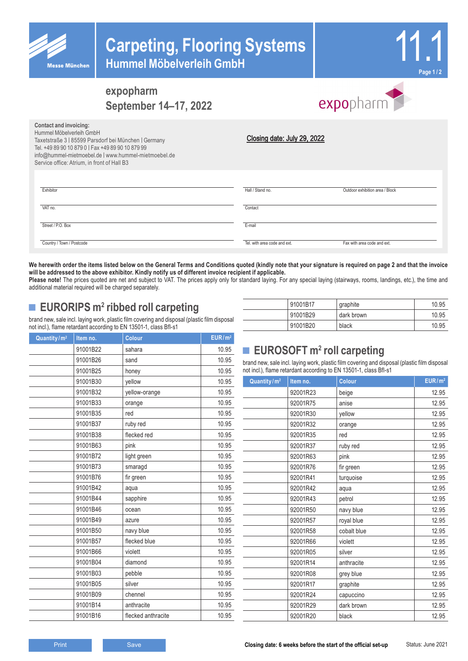

## **expopharm September 14–17, 2022**

# expopharm

| Hummel Möbelverleih GmbH<br>Taxetstraße 3   85599 Parsdorf bei München   Germany<br>Tel. +49 89 90 10 879 0   Fax +49 89 90 10 879 99<br>info@hummel-mietmoebel.de   www.hummel-mietmoebel.de<br>Service office: Atrium, in front of Hall B3 | Closing date: July 29, 2022  |                                 |
|----------------------------------------------------------------------------------------------------------------------------------------------------------------------------------------------------------------------------------------------|------------------------------|---------------------------------|
| Exhibitor                                                                                                                                                                                                                                    | Hall / Stand no.             | Outdoor exhibition area / Block |
| VAT no.                                                                                                                                                                                                                                      | Contact                      |                                 |
| Street / P.O. Box                                                                                                                                                                                                                            | E-mail                       |                                 |
| Country / Town / Postcode                                                                                                                                                                                                                    | Tel, with area code and ext. | Fax with area code and ext.     |

We herewith order the items listed below on the General Terms and Conditions quoted (kindly note that your signature is required on page 2 and that the invoice **will be addressed to the above exhibitor. Kindly notify us of different invoice recipient if applicable.**

Please note! The prices quoted are net and subject to VAT. The prices apply only for standard laying. For any special laying (stairways, rooms, landings, etc.), the time and additional material required will be charged separately.

## ■ **EURORIPS** m<sup>2</sup> ribbed roll carpeting

**Contact and invoicing:**

brand new, sale incl. laying work, plastic film covering and disposal (plastic film disposal not incl.), flame retardant according to EN 13501-1, class Bfl-s1

| Quantity/m <sup>2</sup> | Item no. | <b>Colour</b>      | EUR/m <sup>2</sup> |
|-------------------------|----------|--------------------|--------------------|
|                         | 91001B22 | sahara             | 10.95              |
|                         | 91001B26 | sand               | 10.95              |
|                         | 91001B25 | honey              | 10.95              |
|                         | 91001B30 | yellow             | 10.95              |
|                         | 91001B32 | yellow-orange      | 10.95              |
|                         | 91001B33 | orange             | 10.95              |
|                         | 91001B35 | red                | 10.95              |
|                         | 91001B37 | ruby red           | 10.95              |
|                         | 91001B38 | flecked red        | 10.95              |
|                         | 91001B63 | pink               | 10.95              |
|                         | 91001B72 | light green        | 10.95              |
|                         | 91001B73 | smaragd            | 10.95              |
|                         | 91001B76 | fir green          | 10.95              |
|                         | 91001B42 | aqua               | 10.95              |
|                         | 91001B44 | sapphire           | 10.95              |
|                         | 91001B46 | ocean              | 10.95              |
|                         | 91001B49 | azure              | 10.95              |
|                         | 91001B50 | navy blue          | 10.95              |
|                         | 91001B57 | flecked blue       | 10.95              |
|                         | 91001B66 | violett            | 10.95              |
|                         | 91001B04 | diamond            | 10.95              |
|                         | 91001B03 | pebble             | 10.95              |
|                         | 91001B05 | silver             | 10.95              |
|                         | 91001B09 | chennel            | 10.95              |
|                         | 91001B14 | anthracite         | 10.95              |
|                         | 91001B16 | flecked anthracite | 10.95              |

| 91001B17 | graphite   | 10.95 |
|----------|------------|-------|
| 91001B29 | dark brown | 10.95 |
| 91001B20 | black      | 10.95 |

## ■ **EUROSOFT** m<sup>2</sup> roll carpeting

brand new, sale incl. laying work, plastic film covering and disposal (plastic film disposal not incl.), flame retardant according to EN 13501-1, class Bfl-s1

| Quantity/m <sup>2</sup> | Item no. | Colour      | EUR/m <sup>2</sup> |
|-------------------------|----------|-------------|--------------------|
|                         | 92001R23 | beige       | 12.95              |
|                         | 92001R75 | anise       | 12.95              |
|                         | 92001R30 | yellow      | 12.95              |
|                         | 92001R32 | orange      | 12.95              |
|                         | 92001R35 | red         | 12.95              |
|                         | 92001R37 | ruby red    | 12.95              |
|                         | 92001R63 | pink        | 12.95              |
|                         | 92001R76 | fir green   | 12.95              |
|                         | 92001R41 | turquoise   | 12.95              |
|                         | 92001R42 | aqua        | 12.95              |
|                         | 92001R43 | petrol      | 12.95              |
|                         | 92001R50 | navy blue   | 12.95              |
|                         | 92001R57 | royal blue  | 12.95              |
|                         | 92001R58 | cobalt blue | 12.95              |
|                         | 92001R66 | violett     | 12.95              |
|                         | 92001R05 | silver      | 12.95              |
|                         | 92001R14 | anthracite  | 12.95              |
|                         | 92001R08 | grey blue   | 12.95              |
|                         | 92001R17 | graphite    | 12.95              |
|                         | 92001R24 | capuccino   | 12.95              |
|                         | 92001R29 | dark brown  | 12.95              |
|                         | 92001R20 | black       | 12.95              |